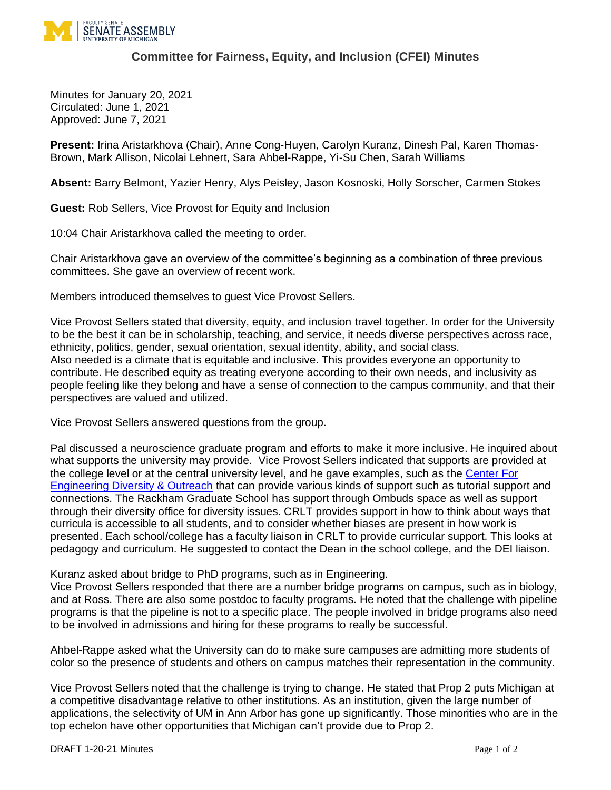

## **Committee for Fairness, Equity, and Inclusion (CFEI) Minutes**

Minutes for January 20, 2021 Circulated: June 1, 2021 Approved: June 7, 2021

**Present:** Irina Aristarkhova (Chair), Anne Cong-Huyen, Carolyn Kuranz, Dinesh Pal, Karen Thomas-Brown, Mark Allison, Nicolai Lehnert, Sara Ahbel-Rappe, Yi-Su Chen, Sarah Williams

**Absent:** Barry Belmont, Yazier Henry, Alys Peisley, Jason Kosnoski, Holly Sorscher, Carmen Stokes

**Guest:** Rob Sellers, Vice Provost for Equity and Inclusion

10:04 Chair Aristarkhova called the meeting to order.

Chair Aristarkhova gave an overview of the committee's beginning as a combination of three previous committees. She gave an overview of recent work.

Members introduced themselves to guest Vice Provost Sellers.

Vice Provost Sellers stated that diversity, equity, and inclusion travel together. In order for the University to be the best it can be in scholarship, teaching, and service, it needs diverse perspectives across race, ethnicity, politics, gender, sexual orientation, sexual identity, ability, and social class. Also needed is a climate that is equitable and inclusive. This provides everyone an opportunity to contribute. He described equity as treating everyone according to their own needs, and inclusivity as people feeling like they belong and have a sense of connection to the campus community, and that their perspectives are valued and utilized.

Vice Provost Sellers answered questions from the group.

Pal discussed a neuroscience graduate program and efforts to make it more inclusive. He inquired about what supports the university may provide. Vice Provost Sellers indicated that supports are provided at the college level or at the central university level, and he gave examples, such as the [Center For](https://cedo.engin.umich.edu/)  [Engineering Diversity & Outreach](https://cedo.engin.umich.edu/) that can provide various kinds of support such as tutorial support and connections. The Rackham Graduate School has support through Ombuds space as well as support through their diversity office for diversity issues. CRLT provides support in how to think about ways that curricula is accessible to all students, and to consider whether biases are present in how work is presented. Each school/college has a faculty liaison in CRLT to provide curricular support. This looks at pedagogy and curriculum. He suggested to contact the Dean in the school college, and the DEI liaison.

Kuranz asked about bridge to PhD programs, such as in Engineering.

Vice Provost Sellers responded that there are a number bridge programs on campus, such as in biology, and at Ross. There are also some postdoc to faculty programs. He noted that the challenge with pipeline programs is that the pipeline is not to a specific place. The people involved in bridge programs also need to be involved in admissions and hiring for these programs to really be successful.

Ahbel-Rappe asked what the University can do to make sure campuses are admitting more students of color so the presence of students and others on campus matches their representation in the community.

Vice Provost Sellers noted that the challenge is trying to change. He stated that Prop 2 puts Michigan at a competitive disadvantage relative to other institutions. As an institution, given the large number of applications, the selectivity of UM in Ann Arbor has gone up significantly. Those minorities who are in the top echelon have other opportunities that Michigan can't provide due to Prop 2.